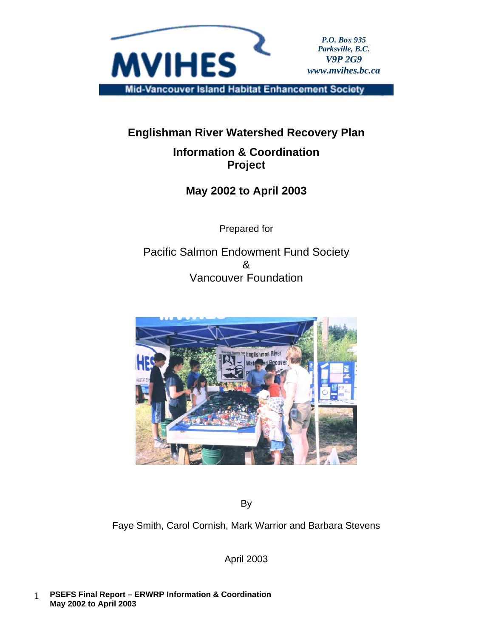

# **Englishman River Watershed Recovery Plan**

# **Information & Coordination Project**

# **May 2002 to April 2003**

Prepared for

Pacific Salmon Endowment Fund Society  $\mathcal{R}$ Vancouver Foundation



By

Faye Smith, Carol Cornish, Mark Warrior and Barbara Stevens

April 2003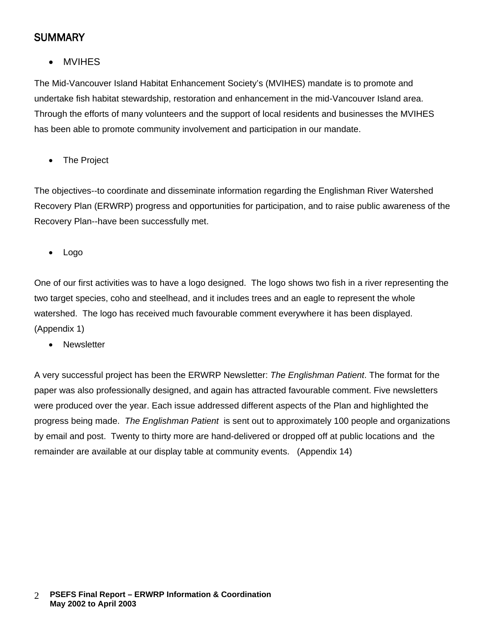# **SUMMARY**

• MVIHES

The Mid-Vancouver Island Habitat Enhancement Society's (MVIHES) mandate is to promote and undertake fish habitat stewardship, restoration and enhancement in the mid-Vancouver Island area. Through the efforts of many volunteers and the support of local residents and businesses the MVIHES has been able to promote community involvement and participation in our mandate.

• The Project

The objectives--to coordinate and disseminate information regarding the Englishman River Watershed Recovery Plan (ERWRP) progress and opportunities for participation, and to raise public awareness of the Recovery Plan--have been successfully met.

• Logo

One of our first activities was to have a logo designed. The logo shows two fish in a river representing the two target species, coho and steelhead, and it includes trees and an eagle to represent the whole watershed. The logo has received much favourable comment everywhere it has been displayed. (Appendix 1)

• Newsletter

A very successful project has been the ERWRP Newsletter: *The Englishman Patient*. The format for the paper was also professionally designed, and again has attracted favourable comment. Five newsletters were produced over the year. Each issue addressed different aspects of the Plan and highlighted the progress being made. *The Englishman Patient* is sent out to approximately 100 people and organizations by email and post. Twenty to thirty more are hand-delivered or dropped off at public locations and the remainder are available at our display table at community events. (Appendix 14)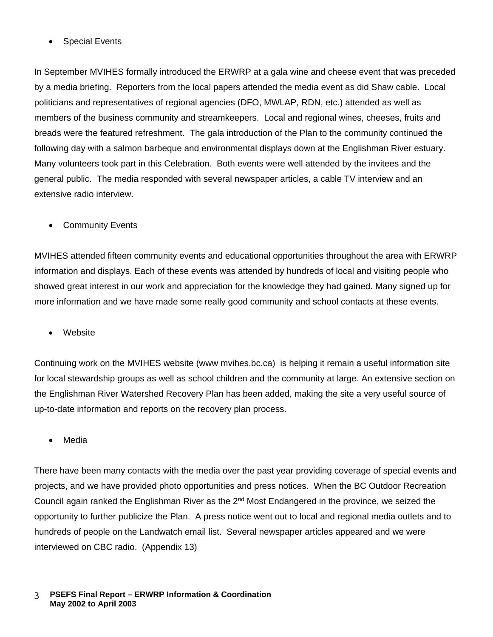• Special Events

In September MVIHES formally introduced the ERWRP at a gala wine and cheese event that was preceded by a media briefing. Reporters from the local papers attended the media event as did Shaw cable. Local politicians and representatives of regional agencies (DFO, MWLAP, RDN, etc.) attended as well as members of the business community and streamkeepers. Local and regional wines, cheeses, fruits and breads were the featured refreshment. The gala introduction of the Plan to the community continued the following day with a salmon barbeque and environmental displays down at the Englishman River estuary. Many volunteers took part in this Celebration. Both events were well attended by the invitees and the general public. The media responded with several newspaper articles, a cable TV interview and an extensive radio interview.

• Community Events

MVIHES attended fifteen community events and educational opportunities throughout the area with ERWRP information and displays. Each of these events was attended by hundreds of local and visiting people who showed great interest in our work and appreciation for the knowledge they had gained. Many signed up for more information and we have made some really good community and school contacts at these events.

• Website

Continuing work on the MVIHES website (www mvihes.bc.ca) is helping it remain a useful information site for local stewardship groups as well as school children and the community at large. An extensive section on the Englishman River Watershed Recovery Plan has been added, making the site a very useful source of up-to-date information and reports on the recovery plan process.

• Media

There have been many contacts with the media over the past year providing coverage of special events and projects, and we have provided photo opportunities and press notices. When the BC Outdoor Recreation Council again ranked the Englishman River as the 2<sup>nd</sup> Most Endangered in the province, we seized the opportunity to further publicize the Plan. A press notice went out to local and regional media outlets and to hundreds of people on the Landwatch email list. Several newspaper articles appeared and we were interviewed on CBC radio. (Appendix 13)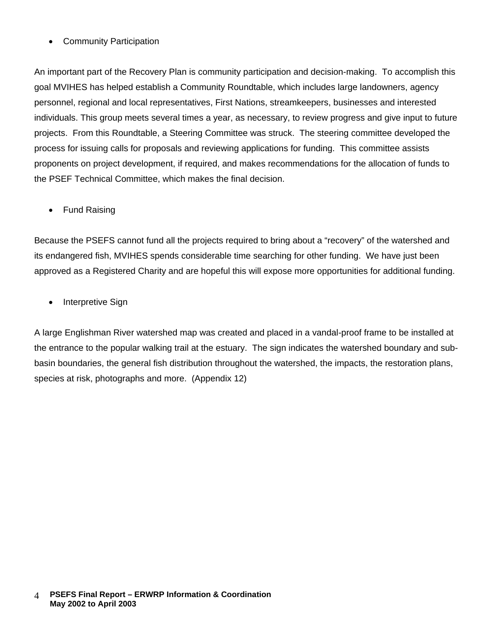### • Community Participation

An important part of the Recovery Plan is community participation and decision-making. To accomplish this goal MVIHES has helped establish a Community Roundtable, which includes large landowners, agency personnel, regional and local representatives, First Nations, streamkeepers, businesses and interested individuals. This group meets several times a year, as necessary, to review progress and give input to future projects. From this Roundtable, a Steering Committee was struck. The steering committee developed the process for issuing calls for proposals and reviewing applications for funding. This committee assists proponents on project development, if required, and makes recommendations for the allocation of funds to the PSEF Technical Committee, which makes the final decision.

• Fund Raising

Because the PSEFS cannot fund all the projects required to bring about a "recovery" of the watershed and its endangered fish, MVIHES spends considerable time searching for other funding. We have just been approved as a Registered Charity and are hopeful this will expose more opportunities for additional funding.

• Interpretive Sign

A large Englishman River watershed map was created and placed in a vandal-proof frame to be installed at the entrance to the popular walking trail at the estuary. The sign indicates the watershed boundary and subbasin boundaries, the general fish distribution throughout the watershed, the impacts, the restoration plans, species at risk, photographs and more. (Appendix 12)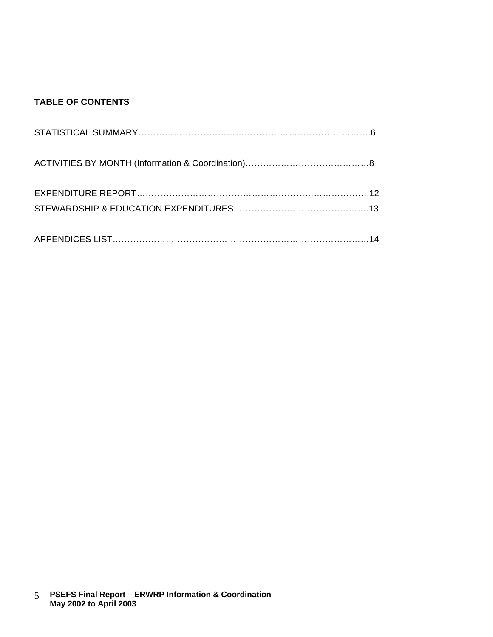### **TABLE OF CONTENTS**

 **PSEFS Final Report – ERWRP Information & Coordination May 2002 to April 2003** 5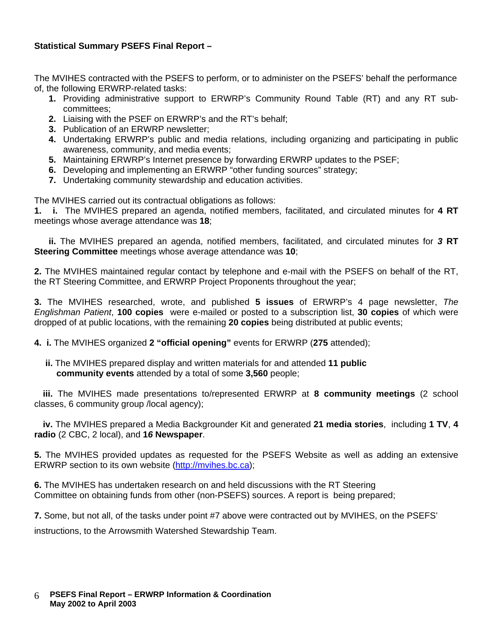#### **Statistical Summary PSEFS Final Report –**

The MVIHES contracted with the PSEFS to perform, or to administer on the PSEFS' behalf the performance of, the following ERWRP-related tasks:

- **1.** Providing administrative support to ERWRP's Community Round Table (RT) and any RT subcommittees;
- **2.** Liaising with the PSEF on ERWRP's and the RT's behalf;
- **3.** Publication of an ERWRP newsletter;
- **4.** Undertaking ERWRP's public and media relations, including organizing and participating in public awareness, community, and media events;
- **5.** Maintaining ERWRP's Internet presence by forwarding ERWRP updates to the PSEF;
- **6.** Developing and implementing an ERWRP "other funding sources" strategy;
- **7.** Undertaking community stewardship and education activities.

The MVIHES carried out its contractual obligations as follows:

**1. i.** The MVIHES prepared an agenda, notified members, facilitated, and circulated minutes for **4 RT** meetings whose average attendance was **18**;

**ii.** The MVIHES prepared an agenda, notified members, facilitated, and circulated minutes for *3* **RT Steering Committee** meetings whose average attendance was **10**;

**2.** The MVIHES maintained regular contact by telephone and e-mail with the PSEFS on behalf of the RT, the RT Steering Committee, and ERWRP Project Proponents throughout the year;

**3.** The MVIHES researched, wrote, and published **5 issues** of ERWRP's 4 page newsletter, *The Englishman Patient*, **100 copies** were e-mailed or posted to a subscription list, **30 copies** of which were dropped of at public locations, with the remaining **20 copies** being distributed at public events;

**4. i.** The MVIHES organized **2 "official opening"** events for ERWRP (**275** attended);

**ii.** The MVIHES prepared display and written materials for and attended **11 public community events** attended by a total of some **3,560** people;

**iii.** The MVIHES made presentations to/represented ERWRP at **8 community meetings** (2 school classes, 6 community group /local agency);

**iv.** The MVIHES prepared a Media Backgrounder Kit and generated **21 media stories**, including **1 TV**, **4 radio** (2 CBC, 2 local), and **1***6* **Newspaper**.

**5.** The MVIHES provided updates as requested for the PSEFS Website as well as adding an extensive ERWRP section to its own website [\(http://mvihes.bc.ca\)](http://mvihes.bc.ca/);

**6.** The MVIHES has undertaken research on and held discussions with the RT Steering Committee on obtaining funds from other (non-PSEFS) sources. A report is being prepared;

**7.** Some, but not all, of the tasks under point #7 above were contracted out by MVIHES, on the PSEFS'

instructions, to the Arrowsmith Watershed Stewardship Team.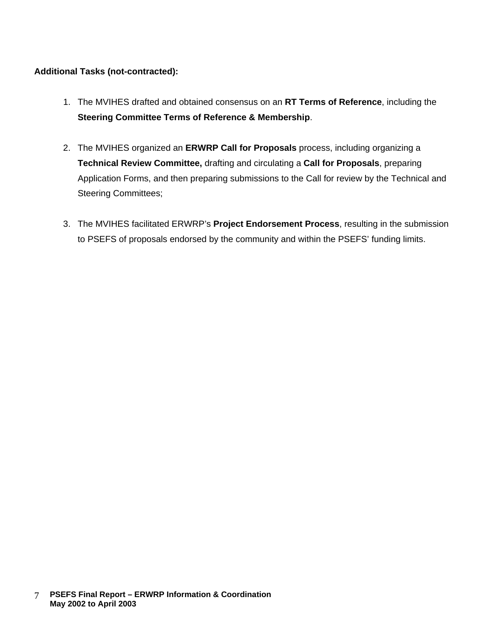#### **Additional Tasks (not-contracted):**

- 1. The MVIHES drafted and obtained consensus on an **RT Terms of Reference**, including the **Steering Committee Terms of Reference & Membership**.
- 2. The MVIHES organized an **ERWRP Call for Proposals** process, including organizing a **Technical Review Committee,** drafting and circulating a **Call for Proposals**, preparing Application Forms, and then preparing submissions to the Call for review by the Technical and Steering Committees;
- 3. The MVIHES facilitated ERWRP's **Project Endorsement Process**, resulting in the submission to PSEFS of proposals endorsed by the community and within the PSEFS' funding limits.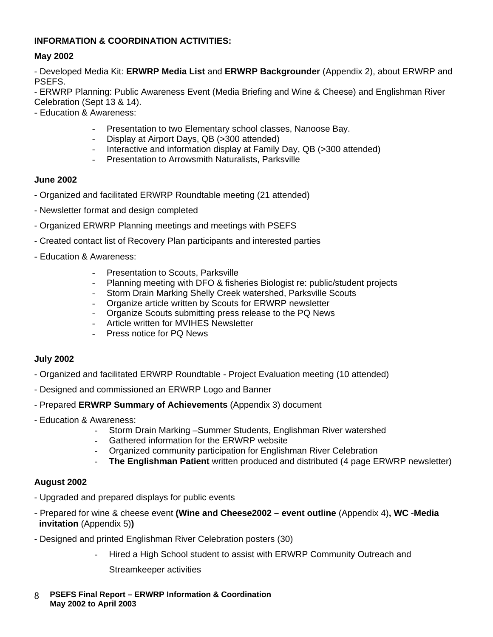#### **INFORMATION & COORDINATION ACTIVITIES:**

#### **May 2002**

- Developed Media Kit: **ERWRP Media List** and **ERWRP Backgrounder** (Appendix 2), about ERWRP and PSEFS.

- ERWRP Planning: Public Awareness Event (Media Briefing and Wine & Cheese) and Englishman River Celebration (Sept 13 & 14).

- Education & Awareness:
	- Presentation to two Elementary school classes, Nanoose Bay.
	- Display at Airport Days, QB (>300 attended)
	- Interactive and information display at Family Day, QB (>300 attended)
	- Presentation to Arrowsmith Naturalists, Parksville

#### **June 2002**

- **-** Organized and facilitated ERWRP Roundtable meeting (21 attended)
- Newsletter format and design completed
- Organized ERWRP Planning meetings and meetings with PSEFS
- Created contact list of Recovery Plan participants and interested parties
- Education & Awareness:
	- Presentation to Scouts, Parksville
	- Planning meeting with DFO & fisheries Biologist re: public/student projects
	- Storm Drain Marking Shelly Creek watershed, Parksville Scouts
	- Organize article written by Scouts for ERWRP newsletter
	- Organize Scouts submitting press release to the PQ News
	- Article written for MVIHES Newsletter
	- Press notice for PQ News

#### **July 2002**

- Organized and facilitated ERWRP Roundtable Project Evaluation meeting (10 attended)
- Designed and commissioned an ERWRP Logo and Banner
- Prepared **ERWRP Summary of Achievements** (Appendix 3) document
- Education & Awareness:
	- Storm Drain Marking –Summer Students, Englishman River watershed
	- Gathered information for the ERWRP website
	- Organized community participation for Englishman River Celebration
	- **The Englishman Patient** written produced and distributed (4 page ERWRP newsletter)

#### **August 2002**

- Upgraded and prepared displays for public events
- Prepared for wine & cheese event **(Wine and Cheese2002 – event outline** (Appendix 4)**, WC -Media invitation** (Appendix 5)**)**
- Designed and printed Englishman River Celebration posters (30)
	- Hired a High School student to assist with ERWRP Community Outreach and
		- Streamkeeper activities
- **PSEFS Final Report – ERWRP Information & Coordination May 2002 to April 2003** 8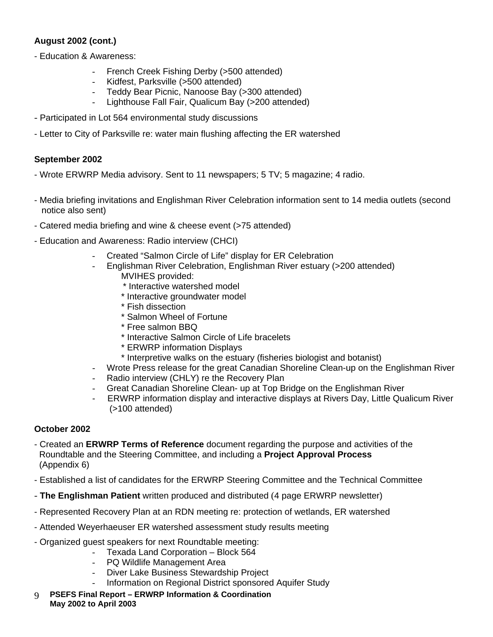#### **August 2002 (cont.)**

- Education & Awareness:
	- French Creek Fishing Derby (>500 attended)
	- Kidfest, Parksville (>500 attended)
	- Teddy Bear Picnic, Nanoose Bay (>300 attended)
	- Lighthouse Fall Fair, Qualicum Bay (>200 attended)
- Participated in Lot 564 environmental study discussions
- Letter to City of Parksville re: water main flushing affecting the ER watershed

#### **September 2002**

- Wrote ERWRP Media advisory. Sent to 11 newspapers; 5 TV; 5 magazine; 4 radio.
- Media briefing invitations and Englishman River Celebration information sent to 14 media outlets (second notice also sent)
- Catered media briefing and wine & cheese event (>75 attended)
- Education and Awareness: Radio interview (CHCI)
	- Created "Salmon Circle of Life" display for ER Celebration
	- Englishman River Celebration, Englishman River estuary (>200 attended)
		- MVIHES provided:
			- \* Interactive watershed model
		- \* Interactive groundwater model
		- \* Fish dissection
		- \* Salmon Wheel of Fortune
		- \* Free salmon BBQ
		- \* Interactive Salmon Circle of Life bracelets
		- \* ERWRP information Displays
		- \* Interpretive walks on the estuary (fisheries biologist and botanist)
	- Wrote Press release for the great Canadian Shoreline Clean-up on the Englishman River
	- Radio interview (CHLY) re the Recovery Plan
	- Great Canadian Shoreline Clean- up at Top Bridge on the Englishman River
	- ERWRP information display and interactive displays at Rivers Day, Little Qualicum River (>100 attended)

### **October 2002**

- Created an **ERWRP Terms of Reference** document regarding the purpose and activities of the Roundtable and the Steering Committee, and including a **Project Approval Process** (Appendix 6)
- Established a list of candidates for the ERWRP Steering Committee and the Technical Committee
- **The Englishman Patient** written produced and distributed (4 page ERWRP newsletter)
- Represented Recovery Plan at an RDN meeting re: protection of wetlands, ER watershed
- Attended Weyerhaeuser ER watershed assessment study results meeting
- Organized guest speakers for next Roundtable meeting:
	- Texada Land Corporation Block 564
	- PQ Wildlife Management Area
	- Diver Lake Business Stewardship Project
	- Information on Regional District sponsored Aquifer Study
- **PSEFS Final Report – ERWRP Information & Coordination**  9  **May 2002 to April 2003**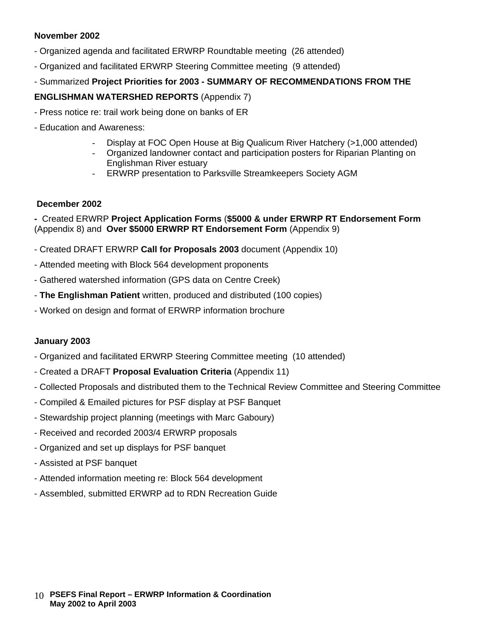#### **November 2002**

- Organized agenda and facilitated ERWRP Roundtable meeting (26 attended)
- Organized and facilitated ERWRP Steering Committee meeting (9 attended)
- Summarized **Project Priorities for 2003 - SUMMARY OF RECOMMENDATIONS FROM THE**

#### **ENGLISHMAN WATERSHED REPORTS** (Appendix 7)

- Press notice re: trail work being done on banks of ER
- Education and Awareness:
	- Display at FOC Open House at Big Qualicum River Hatchery (>1,000 attended)
	- Organized landowner contact and participation posters for Riparian Planting on Englishman River estuary
	- ERWRP presentation to Parksville Streamkeepers Society AGM

#### **December 2002**

**-** Created ERWRP **Project Application Forms** (**\$5000 & under ERWRP RT Endorsement Form**  (Appendix 8) and **Over \$5000 ERWRP RT Endorsement Form** (Appendix 9)

- Created DRAFT ERWRP **Call for Proposals 2003** document (Appendix 10)
- Attended meeting with Block 564 development proponents
- Gathered watershed information (GPS data on Centre Creek)
- **The Englishman Patient** written, produced and distributed (100 copies)
- Worked on design and format of ERWRP information brochure

#### **January 2003**

- Organized and facilitated ERWRP Steering Committee meeting (10 attended)
- Created a DRAFT **Proposal Evaluation Criteria** (Appendix 11)
- Collected Proposals and distributed them to the Technical Review Committee and Steering Committee
- Compiled & Emailed pictures for PSF display at PSF Banquet
- Stewardship project planning (meetings with Marc Gaboury)
- Received and recorded 2003/4 ERWRP proposals
- Organized and set up displays for PSF banquet
- Assisted at PSF banquet
- Attended information meeting re: Block 564 development
- Assembled, submitted ERWRP ad to RDN Recreation Guide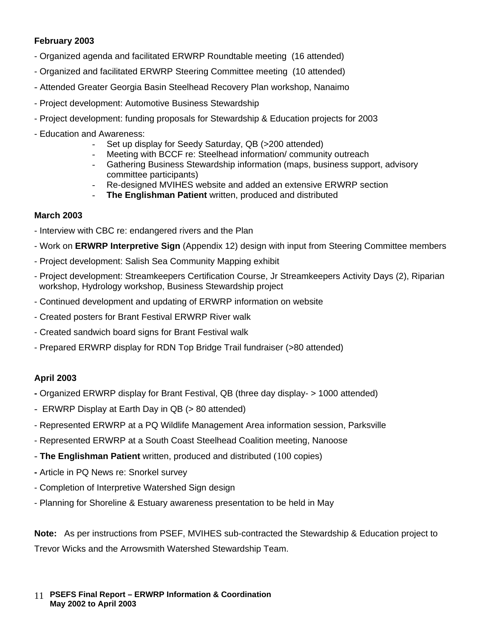#### **February 2003**

- Organized agenda and facilitated ERWRP Roundtable meeting (16 attended)
- Organized and facilitated ERWRP Steering Committee meeting (10 attended)
- Attended Greater Georgia Basin Steelhead Recovery Plan workshop, Nanaimo
- Project development: Automotive Business Stewardship
- Project development: funding proposals for Stewardship & Education projects for 2003
- Education and Awareness:
	- Set up display for Seedy Saturday, QB (>200 attended)
	- Meeting with BCCF re: Steelhead information/ community outreach
	- Gathering Business Stewardship information (maps, business support, advisory committee participants)
	- Re-designed MVIHES website and added an extensive ERWRP section
	- **The Englishman Patient** written, produced and distributed

#### **March 2003**

- Interview with CBC re: endangered rivers and the Plan
- Work on **ERWRP Interpretive Sign** (Appendix 12) design with input from Steering Committee members
- Project development: Salish Sea Community Mapping exhibit
- Project development: Streamkeepers Certification Course, Jr Streamkeepers Activity Days (2), Riparian workshop, Hydrology workshop, Business Stewardship project
- Continued development and updating of ERWRP information on website
- Created posters for Brant Festival ERWRP River walk
- Created sandwich board signs for Brant Festival walk
- Prepared ERWRP display for RDN Top Bridge Trail fundraiser (>80 attended)

#### **April 2003**

- **-** Organized ERWRP display for Brant Festival, QB (three day display- > 1000 attended)
- ERWRP Display at Earth Day in QB (> 80 attended)
- Represented ERWRP at a PQ Wildlife Management Area information session, Parksville
- Represented ERWRP at a South Coast Steelhead Coalition meeting, Nanoose
- **The Englishman Patient** written, produced and distributed (100 copies)
- **-** Article in PQ News re: Snorkel survey
- Completion of Interpretive Watershed Sign design
- Planning for Shoreline & Estuary awareness presentation to be held in May

**Note:** As per instructions from PSEF, MVIHES sub-contracted the Stewardship & Education project to Trevor Wicks and the Arrowsmith Watershed Stewardship Team.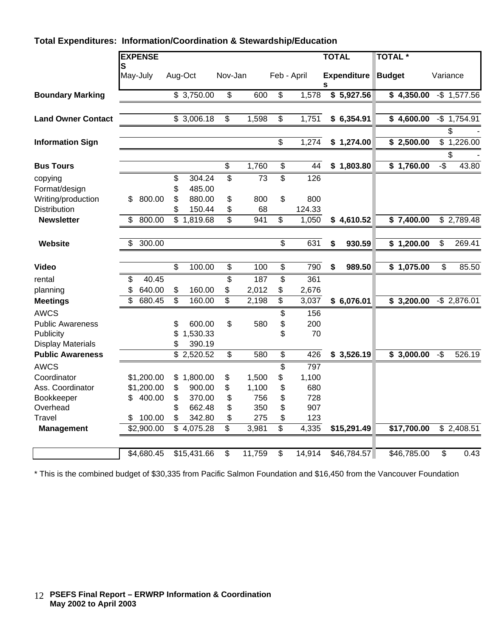### **Total Expenditures: Information/Coordination & Stewardship/Education**

|                           | <b>EXPENSE</b> |                          |                          |                                           |        |                          |             | <b>TOTAL</b>            | <b>TOTAL*</b>       |                         |
|---------------------------|----------------|--------------------------|--------------------------|-------------------------------------------|--------|--------------------------|-------------|-------------------------|---------------------|-------------------------|
|                           | S<br>May-July  |                          | Aug-Oct                  | Nov-Jan                                   |        |                          | Feb - April | <b>Expenditure</b><br>S | <b>Budget</b>       | Variance                |
| <b>Boundary Marking</b>   |                |                          | \$3,750.00               | \$                                        | 600    | \$                       | 1,578       | \$5,927.56              | \$4,350.00          | $-$ \$ 1,577.56         |
| <b>Land Owner Contact</b> |                |                          | \$3,006.18               | \$                                        | 1,598  | \$                       | 1,751       | \$6,354.91              | $\sqrt{2}$ 4,600.00 | $-$ \$ 1,754.91<br>\$   |
| <b>Information Sign</b>   |                |                          |                          |                                           |        | $\overline{\mathbf{S}}$  | 1,274       | \$1,274.00              | \$2,500.00          | \$1,226.00              |
| <b>Bus Tours</b>          |                |                          |                          | $\, \, \raisebox{12pt}{$\scriptstyle \$}$ | 1,760  | \$                       | 44          | \$1,803.80              | \$1,760.00          | \$<br>$-5$<br>43.80     |
| copying                   |                | \$                       | 304.24                   | \$                                        | 73     | \$                       | 126         |                         |                     |                         |
| Format/design             |                | \$                       | 485.00                   |                                           |        |                          |             |                         |                     |                         |
| Writing/production        | \$<br>800.00   | \$                       | 880.00                   | \$                                        | 800    | \$                       | 800         |                         |                     |                         |
| Distribution              |                | \$                       | 150.44                   | \$                                        | 68     |                          | 124.33      |                         |                     |                         |
| <b>Newsletter</b>         | \$<br>800.00   |                          | $\overline{\$}$ 1,819.68 | \$                                        | 941    | \$                       | 1,050       | \$4,610.52              | \$7,400.00          | \$2,789.48              |
| Website                   | \$<br>300.00   |                          |                          |                                           |        | $\overline{\mathcal{S}}$ | 631         | \$<br>930.59            | \$1,200.00          | \$<br>269.41            |
| <b>Video</b>              |                | \$                       | 100.00                   | \$                                        | 100    | \$                       | 790         | \$<br>989.50            | \$1,075.00          | \$<br>85.50             |
| rental                    | \$<br>40.45    |                          |                          | \$                                        | 187    | \$                       | 361         |                         |                     |                         |
| planning                  | \$<br>640.00   | \$                       | 160.00                   | \$                                        | 2,012  | \$                       | 2,676       |                         |                     |                         |
| <b>Meetings</b>           | \$<br>680.45   | $\overline{\mathcal{S}}$ | 160.00                   | \$                                        | 2,198  | $\overline{\mathcal{S}}$ | 3,037       | \$6,076.01              | \$3,200.00          | $-$ \$ 2,876.01         |
| <b>AWCS</b>               |                |                          |                          |                                           |        | \$                       | 156         |                         |                     |                         |
| <b>Public Awareness</b>   |                | \$                       | 600.00                   | \$                                        | 580    | \$                       | 200         |                         |                     |                         |
| Publicity                 |                | \$                       | 1,530.33                 |                                           |        | \$                       | 70          |                         |                     |                         |
| <b>Display Materials</b>  |                | \$                       | 390.19                   |                                           |        |                          |             |                         |                     |                         |
| <b>Public Awareness</b>   |                |                          | $\overline{$}$ 2,520.52  | \$                                        | 580    | \$                       | 426         | \$3,526.19              | \$3,000.00          | $-\$$<br>526.19         |
| <b>AWCS</b>               |                |                          |                          |                                           |        | \$                       | 797         |                         |                     |                         |
| Coordinator               | \$1,200.00     | \$                       | 1,800.00                 | \$                                        | 1,500  | \$                       | 1,100       |                         |                     |                         |
| Ass. Coordinator          | \$1,200.00     | \$                       | 900.00                   | \$                                        | 1,100  | \$                       | 680         |                         |                     |                         |
| Bookkeeper                | 400.00<br>\$   | \$                       | 370.00                   | \$                                        | 756    | \$                       | 728         |                         |                     |                         |
| Overhead                  |                | \$                       | 662.48                   | \$                                        | 350    | \$                       | 907         |                         |                     |                         |
| Travel                    | 100.00<br>\$   | \$                       | 342.80                   | \$                                        | 275    | \$                       | 123         |                         |                     |                         |
| <b>Management</b>         | \$2,900.00     |                          | \$4,075.28               | \$                                        | 3,981  | $\overline{\mathbf{s}}$  | 4,335       | \$15,291.49             | \$17,700.00         | \$2,408.51              |
|                           | \$4,680.45     |                          | \$15,431.66              | \$                                        | 11,759 | \$                       | 14,914      | \$46,784.57             | \$46,785.00         | $\overline{\$}$<br>0.43 |
|                           |                |                          |                          |                                           |        |                          |             |                         |                     |                         |

\* This is the combined budget of \$30,335 from Pacific Salmon Foundation and \$16,450 from the Vancouver Foundation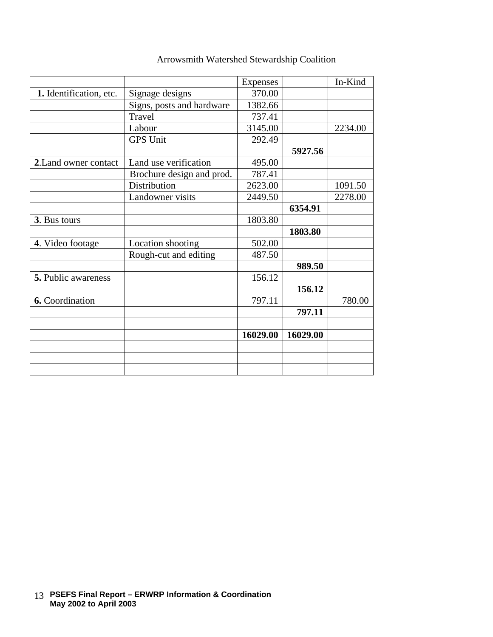|                         |                           | Expenses |          | In-Kind |
|-------------------------|---------------------------|----------|----------|---------|
| 1. Identification, etc. | Signage designs           | 370.00   |          |         |
|                         | Signs, posts and hardware | 1382.66  |          |         |
|                         | Travel                    | 737.41   |          |         |
|                         | Labour                    | 3145.00  |          | 2234.00 |
|                         | <b>GPS Unit</b>           | 292.49   |          |         |
|                         |                           |          | 5927.56  |         |
| 2. Land owner contact   | Land use verification     | 495.00   |          |         |
|                         | Brochure design and prod. | 787.41   |          |         |
|                         | Distribution              | 2623.00  |          | 1091.50 |
|                         | Landowner visits          | 2449.50  |          | 2278.00 |
|                         |                           |          | 6354.91  |         |
| 3. Bus tours            |                           | 1803.80  |          |         |
|                         |                           |          | 1803.80  |         |
| 4. Video footage        | Location shooting         | 502.00   |          |         |
|                         | Rough-cut and editing     | 487.50   |          |         |
|                         |                           |          | 989.50   |         |
| 5. Public awareness     |                           | 156.12   |          |         |
|                         |                           |          | 156.12   |         |
| 6. Coordination         |                           | 797.11   |          | 780.00  |
|                         |                           |          | 797.11   |         |
|                         |                           |          |          |         |
|                         |                           | 16029.00 | 16029.00 |         |
|                         |                           |          |          |         |
|                         |                           |          |          |         |
|                         |                           |          |          |         |

# Arrowsmith Watershed Stewardship Coalition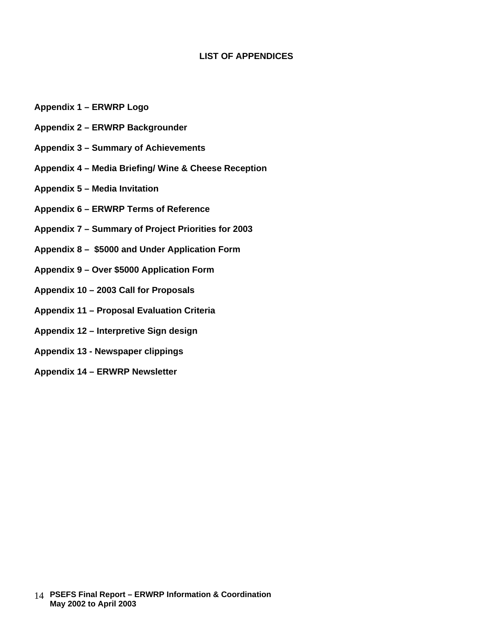#### **LIST OF APPENDICES**

- **Appendix 1 – ERWRP Logo**
- **Appendix 2 – ERWRP Backgrounder**
- **Appendix 3 – Summary of Achievements**
- **Appendix 4 – Media Briefing/ Wine & Cheese Reception**
- **Appendix 5 – Media Invitation**
- **Appendix 6 – ERWRP Terms of Reference**
- **Appendix 7 – Summary of Project Priorities for 2003**
- **Appendix 8 \$5000 and Under Application Form**
- **Appendix 9 – Over \$5000 Application Form**
- **Appendix 10 – 2003 Call for Proposals**
- **Appendix 11 – Proposal Evaluation Criteria**
- **Appendix 12 – Interpretive Sign design**
- **Appendix 13 - Newspaper clippings**
- **Appendix 14 – ERWRP Newsletter**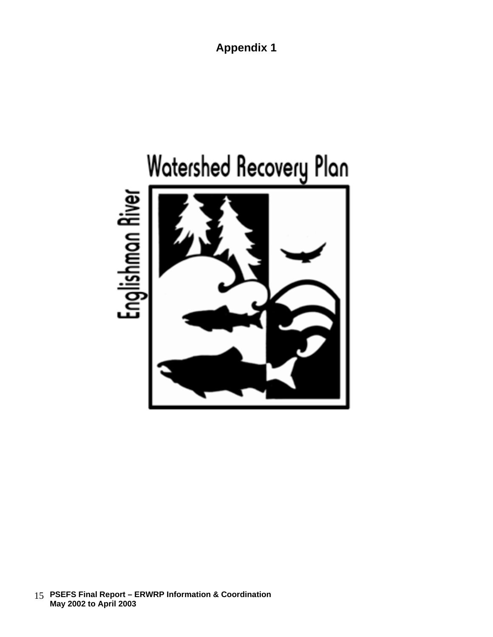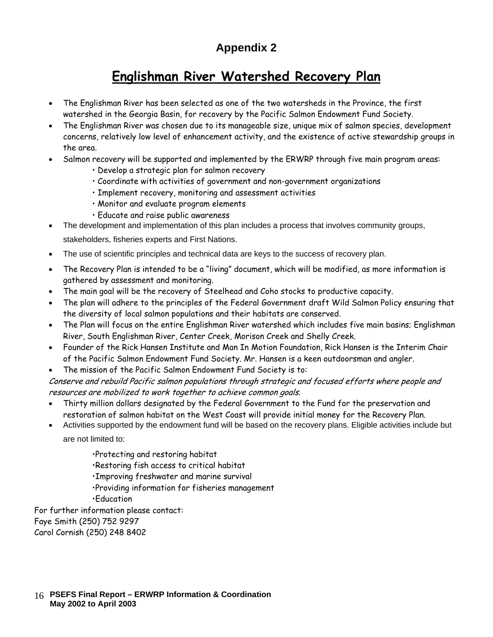# **Englishman River Watershed Recovery Plan**

- The Englishman River has been selected as one of the two watersheds in the Province, the first watershed in the Georgia Basin, for recovery by the Pacific Salmon Endowment Fund Society.
- The Englishman River was chosen due to its manageable size, unique mix of salmon species, development concerns, relatively low level of enhancement activity, and the existence of active stewardship groups in the area.
- Salmon recovery will be supported and implemented by the ERWRP through five main program areas:
	- Develop a strategic plan for salmon recovery
	- Coordinate with activities of government and non-government organizations
	- Implement recovery, monitoring and assessment activities
	- Monitor and evaluate program elements
	- Educate and raise public awareness
- The development and implementation of this plan includes a process that involves community groups,

stakeholders, fisheries experts and First Nations.

- The use of scientific principles and technical data are keys to the success of recovery plan.
- The Recovery Plan is intended to be a "living" document, which will be modified, as more information is gathered by assessment and monitoring.
- The main goal will be the recovery of Steelhead and Coho stocks to productive capacity.
- The plan will adhere to the principles of the Federal Government draft Wild Salmon Policy ensuring that the diversity of local salmon populations and their habitats are conserved.
- The Plan will focus on the entire Englishman River watershed which includes five main basins; Englishman River, South Englishman River, Center Creek, Morison Creek and Shelly Creek.
- Founder of the Rick Hansen Institute and Man In Motion Foundation, Rick Hansen is the Interim Chair of the Pacific Salmon Endowment Fund Society. Mr. Hansen is a keen outdoorsman and angler.
- The mission of the Pacific Salmon Endowment Fund Society is to:

Conserve and rebuild Pacific salmon populations through strategic and focused efforts where people and resources are mobilized to work together to achieve common goals.

- Thirty million dollars designated by the Federal Government to the Fund for the preservation and restoration of salmon habitat on the West Coast will provide initial money for the Recovery Plan.
- Activities supported by the endowment fund will be based on the recovery plans. Eligible activities include but are not limited to:
	- •Protecting and restoring habitat
	- •Restoring fish access to critical habitat
	- •Improving freshwater and marine survival
	- •Providing information for fisheries management
	- •Education

For further information please contact: Faye Smith (250) 752 9297 Carol Cornish (250) 248 8402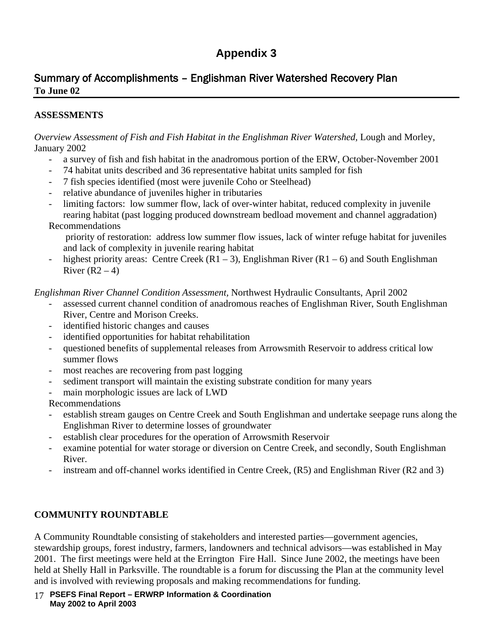# Summary of Accomplishments – Englishman River Watershed Recovery Plan **To June 02**

### **ASSESSMENTS**

*Overview Assessment of Fish and Fish Habitat in the Englishman River Watershed, Lough and Morley,* January 2002

- a survey of fish and fish habitat in the anadromous portion of the ERW, October-November 2001
- 74 habitat units described and 36 representative habitat units sampled for fish
- 7 fish species identified (most were juvenile Coho or Steelhead)
- relative abundance of juveniles higher in tributaries
- limiting factors: low summer flow, lack of over-winter habitat, reduced complexity in juvenile rearing habitat (past logging produced downstream bedload movement and channel aggradation)

#### Recommendations

priority of restoration: address low summer flow issues, lack of winter refuge habitat for juveniles and lack of complexity in juvenile rearing habitat

- highest priority areas: Centre Creek  $(R1 - 3)$ , Englishman River  $(R1 - 6)$  and South Englishman River  $(R2 – 4)$ 

#### *Englishman River Channel Condition Assessment,* Northwest Hydraulic Consultants, April 2002

- assessed current channel condition of anadromous reaches of Englishman River, South Englishman River, Centre and Morison Creeks.
- identified historic changes and causes
- identified opportunities for habitat rehabilitation
- questioned benefits of supplemental releases from Arrowsmith Reservoir to address critical low summer flows
- most reaches are recovering from past logging
- sediment transport will maintain the existing substrate condition for many years
- main morphologic issues are lack of LWD

Recommendations

- establish stream gauges on Centre Creek and South Englishman and undertake seepage runs along the Englishman River to determine losses of groundwater
- establish clear procedures for the operation of Arrowsmith Reservoir
- examine potential for water storage or diversion on Centre Creek, and secondly, South Englishman River.
- instream and off-channel works identified in Centre Creek, (R5) and Englishman River (R2 and 3)

### **COMMUNITY ROUNDTABLE**

A Community Roundtable consisting of stakeholders and interested parties—government agencies, stewardship groups, forest industry, farmers, landowners and technical advisors—was established in May 2001. The first meetings were held at the Errington Fire Hall. Since June 2002, the meetings have been held at Shelly Hall in Parksville. The roundtable is a forum for discussing the Plan at the community level and is involved with reviewing proposals and making recommendations for funding.

 **PSEFS Final Report – ERWRP Information & Coordination**  17  **May 2002 to April 2003**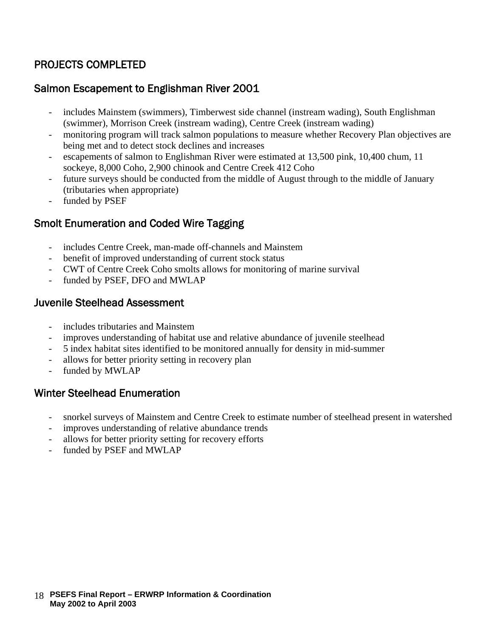# PROJECTS COMPLETED

# Salmon Escapement to Englishman River 2001

- includes Mainstem (swimmers), Timberwest side channel (instream wading), South Englishman (swimmer), Morrison Creek (instream wading), Centre Creek (instream wading)
- monitoring program will track salmon populations to measure whether Recovery Plan objectives are being met and to detect stock declines and increases
- escapements of salmon to Englishman River were estimated at 13,500 pink, 10,400 chum, 11 sockeye, 8,000 Coho, 2,900 chinook and Centre Creek 412 Coho
- future surveys should be conducted from the middle of August through to the middle of January (tributaries when appropriate)
- funded by PSEF

# Smolt Enumeration and Coded Wire Tagging

- includes Centre Creek, man-made off-channels and Mainstem
- benefit of improved understanding of current stock status
- CWT of Centre Creek Coho smolts allows for monitoring of marine survival
- funded by PSEF, DFO and MWLAP

# Juvenile Steelhead Assessment

- includes tributaries and Mainstem
- improves understanding of habitat use and relative abundance of juvenile steelhead
- 5 index habitat sites identified to be monitored annually for density in mid-summer
- allows for better priority setting in recovery plan
- funded by MWLAP

# Winter Steelhead Enumeration

- snorkel surveys of Mainstem and Centre Creek to estimate number of steelhead present in watershed
- improves understanding of relative abundance trends
- allows for better priority setting for recovery efforts
- funded by PSEF and MWLAP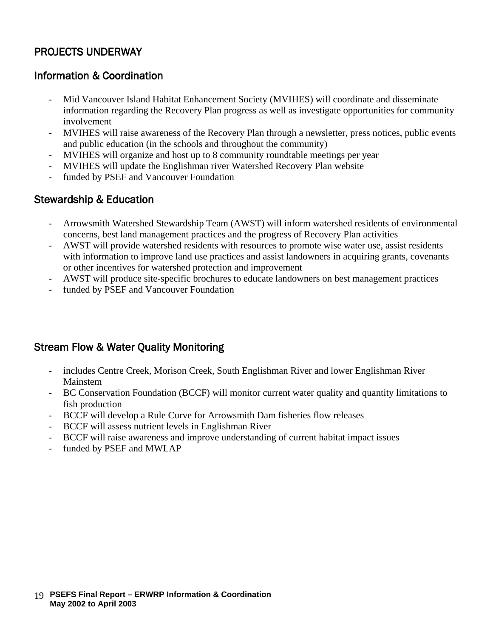# PROJECTS UNDERWAY

# Information & Coordination

- Mid Vancouver Island Habitat Enhancement Society (MVIHES) will coordinate and disseminate information regarding the Recovery Plan progress as well as investigate opportunities for community involvement
- MVIHES will raise awareness of the Recovery Plan through a newsletter, press notices, public events and public education (in the schools and throughout the community)
- MVIHES will organize and host up to 8 community roundtable meetings per year
- MVIHES will update the Englishman river Watershed Recovery Plan website
- funded by PSEF and Vancouver Foundation

# Stewardship & Education

- Arrowsmith Watershed Stewardship Team (AWST) will inform watershed residents of environmental concerns, best land management practices and the progress of Recovery Plan activities
- AWST will provide watershed residents with resources to promote wise water use, assist residents with information to improve land use practices and assist landowners in acquiring grants, covenants or other incentives for watershed protection and improvement
- AWST will produce site-specific brochures to educate landowners on best management practices
- funded by PSEF and Vancouver Foundation

# Stream Flow & Water Quality Monitoring

- includes Centre Creek, Morison Creek, South Englishman River and lower Englishman River Mainstem
- BC Conservation Foundation (BCCF) will monitor current water quality and quantity limitations to fish production
- BCCF will develop a Rule Curve for Arrowsmith Dam fisheries flow releases
- BCCF will assess nutrient levels in Englishman River
- BCCF will raise awareness and improve understanding of current habitat impact issues
- funded by PSEF and MWLAP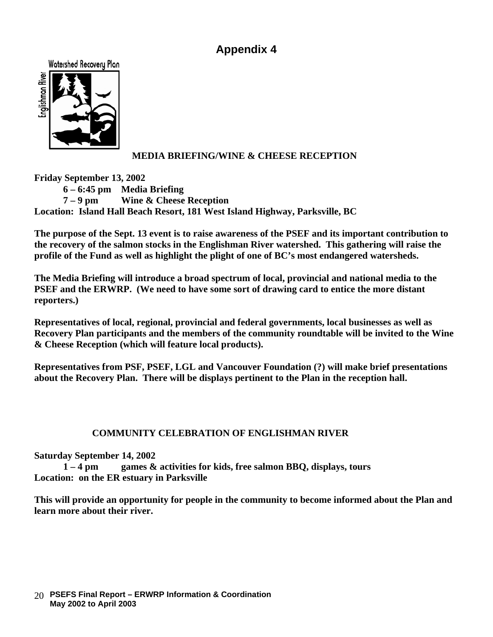



### **MEDIA BRIEFING/WINE & CHEESE RECEPTION**

**Friday September 13, 2002**

**6 – 6:45 pm Media Briefing**

**7 – 9 pm Wine & Cheese Reception**

**Location: Island Hall Beach Resort, 181 West Island Highway, Parksville, BC**

**The purpose of the Sept. 13 event is to raise awareness of the PSEF and its important contribution to the recovery of the salmon stocks in the Englishman River watershed. This gathering will raise the profile of the Fund as well as highlight the plight of one of BC's most endangered watersheds.**

**The Media Briefing will introduce a broad spectrum of local, provincial and national media to the PSEF and the ERWRP. (We need to have some sort of drawing card to entice the more distant reporters.)**

**Representatives of local, regional, provincial and federal governments, local businesses as well as Recovery Plan participants and the members of the community roundtable will be invited to the Wine & Cheese Reception (which will feature local products).**

**Representatives from PSF, PSEF, LGL and Vancouver Foundation (?) will make brief presentations about the Recovery Plan. There will be displays pertinent to the Plan in the reception hall.**

### **COMMUNITY CELEBRATION OF ENGLISHMAN RIVER**

**Saturday September 14, 2002**

**1 – 4 pm games & activities for kids, free salmon BBQ, displays, tours Location: on the ER estuary in Parksville**

**This will provide an opportunity for people in the community to become informed about the Plan and learn more about their river.**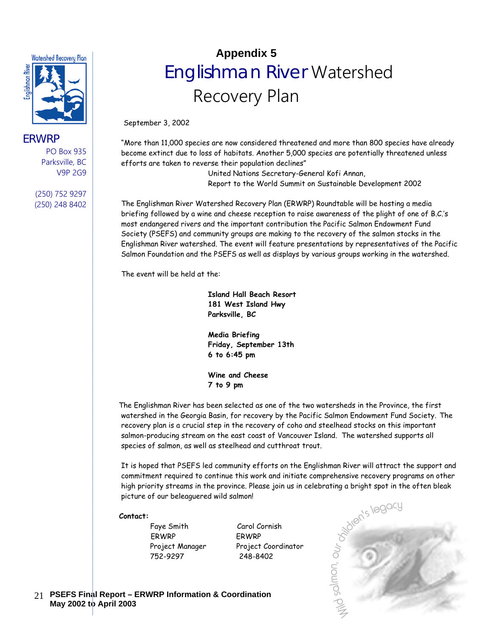

#### ERWRP

PO Box 935 Parksville, BC V9P 2G9

(250) 752 9297 (250) 248 8402

# **Appendix 5** Englishman River Watershed Recovery Plan

September 3, 2002

"More than 11,000 species are now considered threatened and more than 800 species have already become extinct due to loss of habitats. Another 5,000 species are potentially threatened unless efforts are taken to reverse their population declines"

> United Nations Secretary-General Kofi Annan, Report to the World Summit on Sustainable Development 2002

The Englishman River Watershed Recovery Plan (ERWRP) Roundtable will be hosting a media briefing followed by a wine and cheese reception to raise awareness of the plight of one of B.C.'s most endangered rivers and the important contribution the Pacific Salmon Endowment Fund Society (PSEFS) and community groups are making to the recovery of the salmon stocks in the Englishman River watershed. The event will feature presentations by representatives of the Pacific Salmon Foundation and the PSEFS as well as displays by various groups working in the watershed.

The event will be held at the:

**Island Hall Beach Resort 181 West Island Hwy Parksville, BC**

**Media Briefing Friday, September 13th 6 to 6:45 pm**

**Wine and Cheese 7 to 9 pm**

 The Englishman River has been selected as one of the two watersheds in the Province, the first watershed in the Georgia Basin, for recovery by the Pacific Salmon Endowment Fund Society. The recovery plan is a crucial step in the recovery of coho and steelhead stocks on this important salmon-producing stream on the east coast of Vancouver Island. The watershed supports all species of salmon, as well as steelhead and cutthroat trout.

commitment required to continue this work and initiate comprehensive recovery programs on other high priority streams in the province. Please join us in celebrating a bright spot in the often bleak picture of our beleaguered wild salmon!

#### **Contact:**

Faye Smith Carol Cornish ERWRP ERWRP 752-9297 248-8402

Project Manager Project Coordinator



 **PSEFS Final Report – ERWRP Information & Coordination**  21  **May 2002 to April 2003**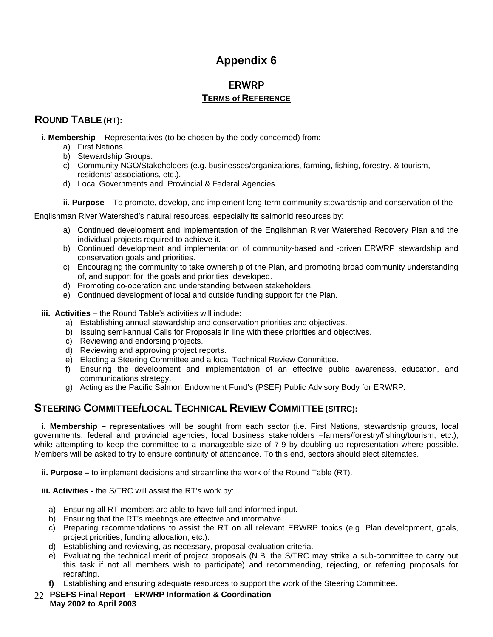# ERWRP **TERMS of REFERENCE**

# **ROUND TABLE (RT):**

**i. Membership** – Representatives (to be chosen by the body concerned) from:

- a) First Nations.
- b) Stewardship Groups.
- c) Community NGO/Stakeholders (e.g. businesses/organizations, farming, fishing, forestry, & tourism, residents' associations, etc.).
- d) Local Governments and Provincial & Federal Agencies.

**ii. Purpose** – To promote, develop, and implement long-term community stewardship and conservation of the

Englishman River Watershed's natural resources, especially its salmonid resources by:

- a) Continued development and implementation of the Englishman River Watershed Recovery Plan and the individual projects required to achieve it.
- b) Continued development and implementation of community-based and -driven ERWRP stewardship and conservation goals and priorities.
- c) Encouraging the community to take ownership of the Plan, and promoting broad community understanding of, and support for, the goals and priorities developed.
- d) Promoting co-operation and understanding between stakeholders.
- e) Continued development of local and outside funding support for the Plan.
- **iii. Activities** the Round Table's activities will include:
	- a) Establishing annual stewardship and conservation priorities and objectives.
	- b) Issuing semi-annual Calls for Proposals in line with these priorities and objectives.
	- c) Reviewing and endorsing projects.
	- d) Reviewing and approving project reports.
	- e) Electing a Steering Committee and a local Technical Review Committee.
	- f) Ensuring the development and implementation of an effective public awareness, education, and communications strategy.
	- g) Acting as the Pacific Salmon Endowment Fund's (PSEF) Public Advisory Body for ERWRP.

# **STEERING COMMITTEE/LOCAL TECHNICAL REVIEW COMMITTEE (S/TRC):**

**i. Membership –** representatives will be sought from each sector (i.e. First Nations, stewardship groups, local governments, federal and provincial agencies, local business stakeholders –farmers/forestry/fishing/tourism, etc.), while attempting to keep the committee to a manageable size of 7-9 by doubling up representation where possible. Members will be asked to try to ensure continuity of attendance. To this end, sectors should elect alternates.

**ii. Purpose –** to implement decisions and streamline the work of the Round Table (RT).

**iii. Activities -** the S/TRC will assist the RT's work by:

- a) Ensuring all RT members are able to have full and informed input.
- b) Ensuring that the RT's meetings are effective and informative.
- c) Preparing recommendations to assist the RT on all relevant ERWRP topics (e.g. Plan development, goals, project priorities, funding allocation, etc.).
- d) Establishing and reviewing, as necessary, proposal evaluation criteria.
- e) Evaluating the technical merit of project proposals (N.B. the S/TRC may strike a sub-committee to carry out this task if not all members wish to participate) and recommending, rejecting, or referring proposals for redrafting.
- **f)** Establishing and ensuring adequate resources to support the work of the Steering Committee.
- **PSEFS Final Report – ERWRP Information & Coordination**  22  **May 2002 to April 2003**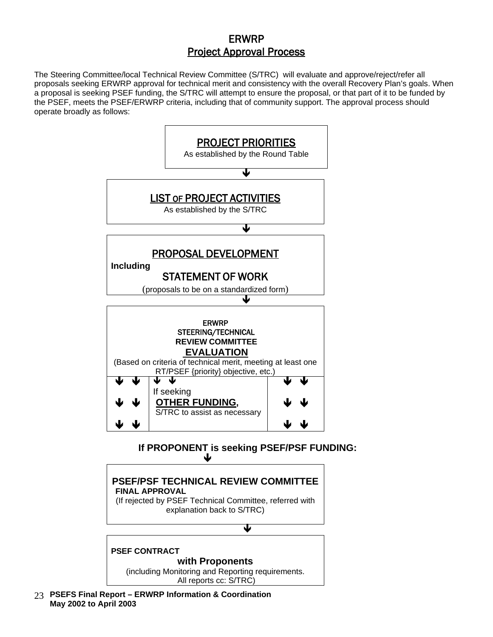# ERWRP Project Approval Process

The Steering Committee/local Technical Review Committee (S/TRC) will evaluate and approve/reject/refer all proposals seeking ERWRP approval for technical merit and consistency with the overall Recovery Plan's goals. When a proposal is seeking PSEF funding, the S/TRC will attempt to ensure the proposal, or that part of it to be funded by the PSEF, meets the PSEF/ERWRP criteria, including that of community support. The approval process should operate broadly as follows:



 **PSEFS Final Report – ERWRP Information & Coordination**  23  **May 2002 to April 2003**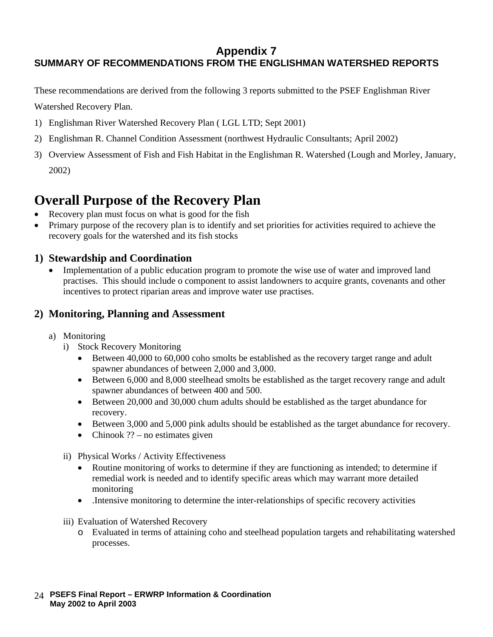# **Appendix 7 SUMMARY OF RECOMMENDATIONS FROM THE ENGLISHMAN WATERSHED REPORTS**

These recommendations are derived from the following 3 reports submitted to the PSEF Englishman River Watershed Recovery Plan.

- 1) Englishman River Watershed Recovery Plan ( LGL LTD; Sept 2001)
- 2) Englishman R. Channel Condition Assessment (northwest Hydraulic Consultants; April 2002)
- 3) Overview Assessment of Fish and Fish Habitat in the Englishman R. Watershed (Lough and Morley, January, 2002)

# **Overall Purpose of the Recovery Plan**

- Recovery plan must focus on what is good for the fish
- Primary purpose of the recovery plan is to identify and set priorities for activities required to achieve the recovery goals for the watershed and its fish stocks

# **1) Stewardship and Coordination**

• Implementation of a public education program to promote the wise use of water and improved land practises. This should include o component to assist landowners to acquire grants, covenants and other incentives to protect riparian areas and improve water use practises.

### **2) Monitoring, Planning and Assessment**

- a) Monitoring
	- i) Stock Recovery Monitoring
		- Between 40,000 to 60,000 coho smolts be established as the recovery target range and adult spawner abundances of between 2,000 and 3,000.
		- Between 6,000 and 8,000 steelhead smolts be established as the target recovery range and adult spawner abundances of between 400 and 500.
		- Between 20,000 and 30,000 chum adults should be established as the target abundance for recovery.
		- Between 3,000 and 5,000 pink adults should be established as the target abundance for recovery.
		- Chinook  $??$  no estimates given
	- ii) Physical Works / Activity Effectiveness
		- Routine monitoring of works to determine if they are functioning as intended; to determine if remedial work is needed and to identify specific areas which may warrant more detailed monitoring
		- .Intensive monitoring to determine the inter-relationships of specific recovery activities
	- iii) Evaluation of Watershed Recovery
		- o Evaluated in terms of attaining coho and steelhead population targets and rehabilitating watershed processes.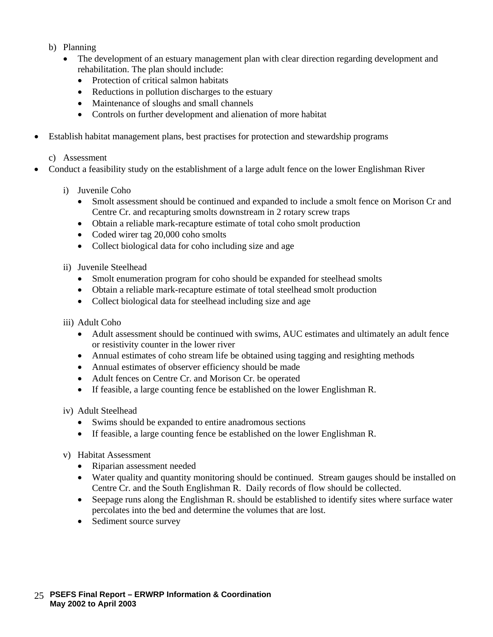- b) Planning
	- The development of an estuary management plan with clear direction regarding development and rehabilitation. The plan should include:
		- Protection of critical salmon habitats
		- Reductions in pollution discharges to the estuary
		- Maintenance of sloughs and small channels
		- Controls on further development and alienation of more habitat
- Establish habitat management plans, best practises for protection and stewardship programs

c) Assessment

- Conduct a feasibility study on the establishment of a large adult fence on the lower Englishman River
	- i) Juvenile Coho
		- Smolt assessment should be continued and expanded to include a smolt fence on Morison Cr and Centre Cr. and recapturing smolts downstream in 2 rotary screw traps
		- Obtain a reliable mark-recapture estimate of total coho smolt production
		- Coded wirer tag 20,000 coho smolts
		- Collect biological data for coho including size and age
	- ii) Juvenile Steelhead
		- Smolt enumeration program for coho should be expanded for steelhead smolts
		- Obtain a reliable mark-recapture estimate of total steelhead smolt production
		- Collect biological data for steelhead including size and age
	- iii) Adult Coho
		- Adult assessment should be continued with swims, AUC estimates and ultimately an adult fence or resistivity counter in the lower river
		- Annual estimates of coho stream life be obtained using tagging and resighting methods
		- Annual estimates of observer efficiency should be made
		- Adult fences on Centre Cr. and Morison Cr. be operated
		- If feasible, a large counting fence be established on the lower Englishman R.

iv) Adult Steelhead

- Swims should be expanded to entire anadromous sections
- If feasible, a large counting fence be established on the lower Englishman R.
- v) Habitat Assessment
	- Riparian assessment needed
	- Water quality and quantity monitoring should be continued. Stream gauges should be installed on Centre Cr. and the South Englishman R. Daily records of flow should be collected.
	- Seepage runs along the Englishman R. should be established to identify sites where surface water percolates into the bed and determine the volumes that are lost.
	- Sediment source survey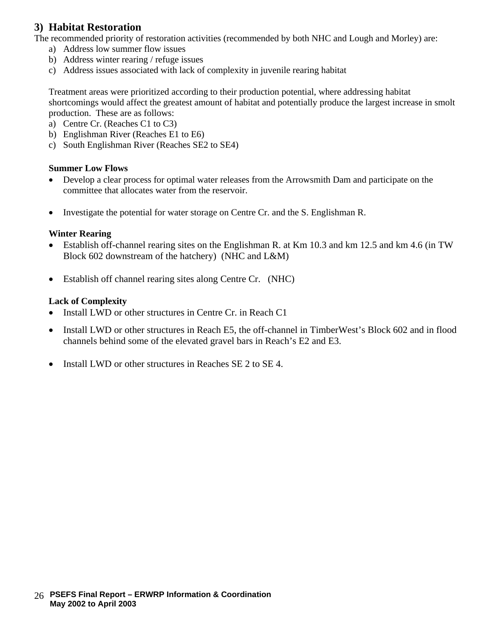# **3) Habitat Restoration**

The recommended priority of restoration activities (recommended by both NHC and Lough and Morley) are:

- a) Address low summer flow issues
- b) Address winter rearing / refuge issues
- c) Address issues associated with lack of complexity in juvenile rearing habitat

Treatment areas were prioritized according to their production potential, where addressing habitat shortcomings would affect the greatest amount of habitat and potentially produce the largest increase in smolt production. These are as follows:

- a) Centre Cr. (Reaches C1 to C3)
- b) Englishman River (Reaches E1 to E6)
- c) South Englishman River (Reaches SE2 to SE4)

#### **Summer Low Flows**

- Develop a clear process for optimal water releases from the Arrowsmith Dam and participate on the committee that allocates water from the reservoir.
- Investigate the potential for water storage on Centre Cr. and the S. Englishman R.

#### **Winter Rearing**

- Establish off-channel rearing sites on the Englishman R. at Km 10.3 and km 12.5 and km 4.6 (in TW Block 602 downstream of the hatchery) (NHC and L&M)
- Establish off channel rearing sites along Centre Cr. (NHC)

#### **Lack of Complexity**

- Install LWD or other structures in Centre Cr. in Reach C1
- Install LWD or other structures in Reach E5, the off-channel in TimberWest's Block 602 and in flood channels behind some of the elevated gravel bars in Reach's E2 and E3.
- Install LWD or other structures in Reaches SE 2 to SE 4.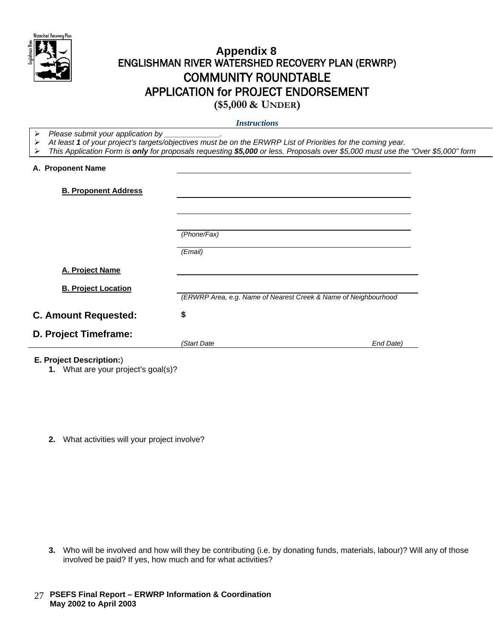

# **Appendix 8** ENGLISHMAN RIVER WATERSHED RECOVERY PLAN (ERWRP) COMMUNITY ROUNDTABLE APPLICATION for PROJECT ENDORSEMENT

**(\$5,000 & UNDER)** *Instructions*

- *Please submit your application by \_\_\_\_\_\_\_\_\_\_\_\_\_.*
- *At least 1 of your project's targets/objectives must be on the ERWRP List of Priorities for the coming year.*
- *This Application Form is only for proposals requesting \$5,000 or less. Proposals over \$5,000 must use the "Over \$5,000" form*

#### **A. Proponent Name**

| <b>B. Proponent Address</b> |                                                                 |           |
|-----------------------------|-----------------------------------------------------------------|-----------|
|                             |                                                                 |           |
|                             | (Phone/Fax)                                                     |           |
|                             | (Email)                                                         |           |
| A. Project Name             |                                                                 |           |
| <b>B. Project Location</b>  | (ERWRP Area, e.g. Name of Nearest Creek & Name of Neighbourhood |           |
| <b>C. Amount Requested:</b> | \$                                                              |           |
| D. Project Timeframe:       | (Start Date                                                     | End Date) |
|                             |                                                                 |           |

#### **E. Project Description:**)

- **1.** What are your project's goal(s)?
- **2.** What activities will your project involve?

- **3.** Who will be involved and how will they be contributing (i.e. by donating funds, materials, labour)? Will any of those involved be paid? If yes, how much and for what activities?
- **PSEFS Final Report – ERWRP Information & Coordination**  27  **May 2002 to April 2003**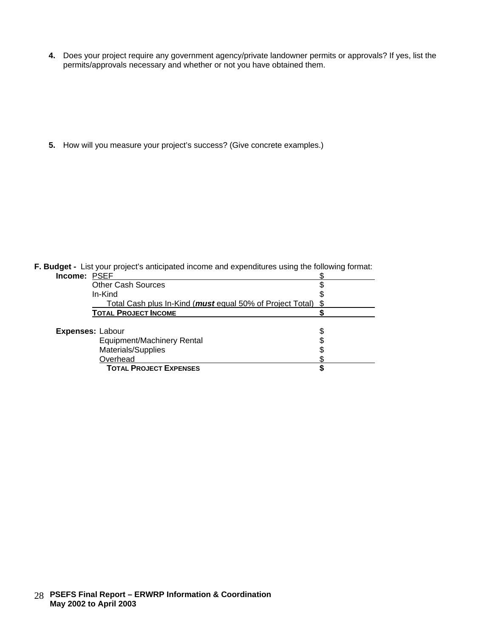**4.** Does your project require any government agency/private landowner permits or approvals? If yes, list the permits/approvals necessary and whether or not you have obtained them.

**5.** How will you measure your project's success? (Give concrete examples.)

|  |  |  |  | F. Budget - List your project's anticipated income and expenditures using the following format: |  |
|--|--|--|--|-------------------------------------------------------------------------------------------------|--|
|--|--|--|--|-------------------------------------------------------------------------------------------------|--|

| <b>Income: PSEF</b> |                                                                   |  |
|---------------------|-------------------------------------------------------------------|--|
|                     | <b>Other Cash Sources</b>                                         |  |
|                     | In-Kind                                                           |  |
|                     | Total Cash plus In-Kind ( <i>must</i> equal 50% of Project Total) |  |
|                     | <b>TOTAL PROJECT INCOME</b>                                       |  |
|                     |                                                                   |  |
|                     | <b>Expenses: Labour</b>                                           |  |
|                     | <b>Equipment/Machinery Rental</b>                                 |  |
|                     | Materials/Supplies                                                |  |
|                     | Overhead                                                          |  |
|                     | <b>TOTAL PROJECT EXPENSES</b>                                     |  |
|                     |                                                                   |  |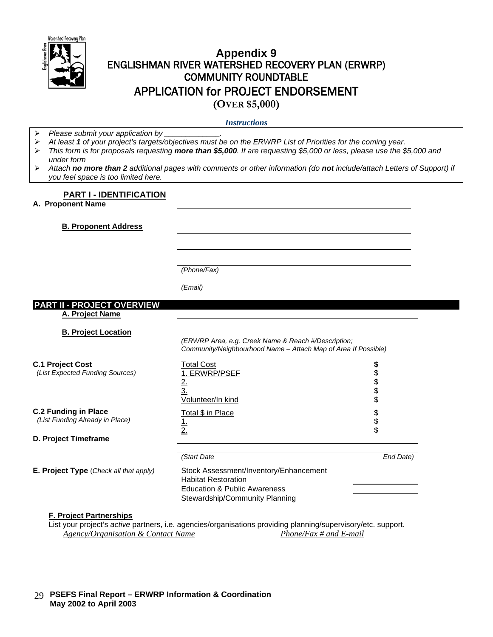

# **Appendix 9** ENGLISHMAN RIVER WATERSHED RECOVERY PLAN (ERWRP) COMMUNITY ROUNDTABLE APPLICATION for PROJECT ENDORSEMENT **(OVER \$5,000)**

*Instructions*

*Please submit your application by \_\_\_\_\_\_\_\_\_\_\_\_\_.*

*At least 1 of your project's targets/objectives must be on the ERWRP List of Priorities for the coming year.*

- *This form is for proposals requesting more than \$5,000. If are requesting \$5,000 or less, please use the \$5,000 and under form*
- *Attach no more than 2 additional pages with comments or other information (do not include/attach Letters of Support) if you feel space is too limited here.*

#### **PART I - IDENTIFICATION**

**A. Proponent Name** 

**B. Proponent Address**

*(Phone/Fax)*

*(Email)*

#### **PART II - PROJECT OVERVIEW**

**A. Project Name**

**B. Project Location**

| <b>Total Cost</b><br>I. ERWRP/PSEF<br>$rac{2}{3}$<br>Volunteer/In kind                                                                 | \$                                                             |
|----------------------------------------------------------------------------------------------------------------------------------------|----------------------------------------------------------------|
| Total \$ in Place<br><u>ı</u> .<br>2.                                                                                                  | \$<br>\$                                                       |
| (Start Date                                                                                                                            | End Date)                                                      |
| Stock Assessment/Inventory/Enhancement<br><b>Habitat Restoration</b><br>Education & Public Awareness<br>Stewardship/Community Planning |                                                                |
|                                                                                                                                        | Community/Neighbourhood Name - Attach Map of Area If Possible) |

*(ERWRP Area, e.g. Creek Name & Reach #/Description;* 

#### **F. Project Partnerships**

List your project's *active* partners, i.e. agencies/organisations providing planning/supervisory/etc. support. *Agency/Organisation & Contact Name Phone/Fax # and E-mail*

#### **PSEFS Final Report – ERWRP Information & Coordination**  29  **May 2002 to April 2003**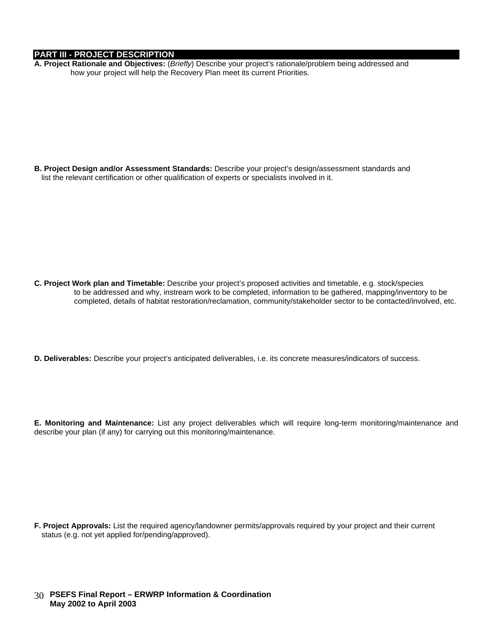#### **PART III - PROJECT DESCRIPTION**

**A. Project Rationale and Objectives:** (*Briefly*) Describe your project's rationale/problem being addressed and how your project will help the Recovery Plan meet its current Priorities.

**B. Project Design and/or Assessment Standards:** Describe your project's design/assessment standards and list the relevant certification or other qualification of experts or specialists involved in it.

- **C. Project Work plan and Timetable:** Describe your project's proposed activities and timetable, e.g. stock/species to be addressed and why, instream work to be completed, information to be gathered, mapping/inventory to be completed, details of habitat restoration/reclamation, community/stakeholder sector to be contacted/involved, etc.
- **D. Deliverables:** Describe your project's anticipated deliverables, i.e. its concrete measures/indicators of success.
- **E. Monitoring and Maintenance:** List any project deliverables which will require long-term monitoring/maintenance and describe your plan (if any) for carrying out this monitoring/maintenance.

**F. Project Approvals:** List the required agency/landowner permits/approvals required by your project and their current status (e.g. not yet applied for/pending/approved).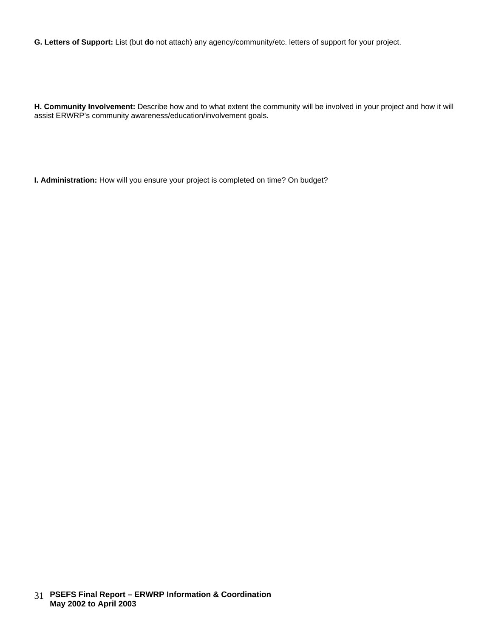**G. Letters of Support:** List (but **do** not attach) any agency/community/etc. letters of support for your project.

**H. Community Involvement:** Describe how and to what extent the community will be involved in your project and how it will assist ERWRP's community awareness/education/involvement goals.

**I. Administration:** How will you ensure your project is completed on time? On budget?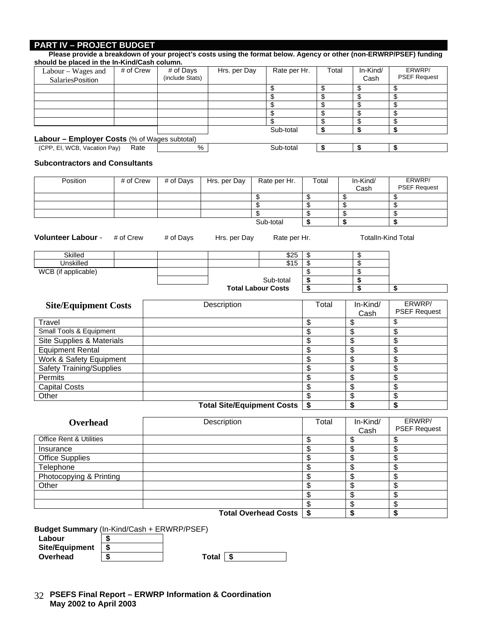#### **PART IV – PROJECT BUDGET**

| should be placed in the In-Kind/Cash column.<br>Labour - Wages and | # of Crew |           | # of Days       | Hrs. per Day                      |                       | Rate per Hr.                |                 | Total    | In-Kind/         | ERWRP/                        |
|--------------------------------------------------------------------|-----------|-----------|-----------------|-----------------------------------|-----------------------|-----------------------------|-----------------|----------|------------------|-------------------------------|
| SalariesPosition                                                   |           |           | (include Stats) |                                   |                       |                             |                 |          | Cash             | <b>PSEF Request</b>           |
|                                                                    |           |           |                 |                                   |                       | \$                          | \$              |          | \$               | \$                            |
|                                                                    |           |           |                 |                                   |                       | \$                          | \$              |          | \$               | \$                            |
|                                                                    |           |           |                 |                                   |                       | \$                          | \$              |          | \$               | \$                            |
|                                                                    |           |           |                 |                                   |                       | \$                          | \$              |          | \$               | \$                            |
|                                                                    |           |           |                 |                                   |                       | \$                          | \$              |          | \$               | \$                            |
|                                                                    |           |           |                 |                                   |                       | Sub-total                   | \$              |          | \$               | \$                            |
| Labour - Employer Costs (% of Wages subtotal)                      |           |           |                 |                                   |                       |                             |                 |          |                  |                               |
| (CPP, EI, WCB, Vacation Pay)                                       | Rate      |           |                 | $\frac{1}{6}$                     |                       | Sub-total                   | \$              |          | \$               | \$                            |
| <b>Subcontractors and Consultants</b>                              |           |           |                 |                                   |                       |                             |                 |          |                  |                               |
| Position                                                           | # of Crew |           | # of Days       | Hrs. per Day                      |                       | Rate per Hr.                | Total           |          | In-Kind/         | ERWRP/                        |
|                                                                    |           |           |                 |                                   |                       |                             |                 |          | Cash             | <b>PSEF Request</b>           |
|                                                                    |           |           |                 |                                   | \$                    |                             | \$              | \$       |                  | \$                            |
|                                                                    |           |           |                 |                                   | $\overline{\$}$<br>\$ |                             | \$<br>\$        | \$<br>\$ |                  | \$                            |
|                                                                    |           |           |                 |                                   |                       | Sub-total                   | \$              | \$       |                  | \$<br>\$                      |
|                                                                    |           |           |                 |                                   |                       |                             |                 |          |                  |                               |
| <b>Volunteer Labour -</b>                                          | # of Crew |           | # of Days       | Hrs. per Day                      |                       | Rate per Hr.                |                 |          |                  | <b>Totalln-Kind Total</b>     |
| Skilled                                                            |           |           |                 |                                   |                       | \$25                        | \$              |          | \$               |                               |
| <b>Unskilled</b>                                                   |           |           |                 |                                   |                       | \$15                        | $\overline{\$}$ |          | $\overline{\$}$  |                               |
| WCB (if applicable)                                                |           |           |                 |                                   |                       |                             | \$              |          | \$               |                               |
|                                                                    |           | Sub-total |                 |                                   |                       |                             | \$              |          | \$               |                               |
|                                                                    |           |           |                 |                                   |                       | <b>Total Labour Costs</b>   | \$              |          | \$               | \$                            |
|                                                                    |           |           |                 |                                   |                       |                             |                 |          |                  |                               |
| <b>Site/Equipment Costs</b>                                        |           |           |                 | Description                       |                       |                             | Total           |          | In-Kind/         | ERWRP/<br><b>PSEF Request</b> |
|                                                                    |           |           |                 |                                   |                       |                             |                 |          | Cash             | \$                            |
| Travel                                                             |           |           |                 |                                   |                       |                             | \$              |          | \$               |                               |
| Small Tools & Equipment                                            |           |           |                 |                                   |                       |                             | \$              |          | \$               | \$                            |
| Site Supplies & Materials                                          |           |           |                 |                                   |                       |                             | \$              |          | \$               | \$                            |
| <b>Equipment Rental</b>                                            |           |           |                 |                                   |                       |                             | \$              |          | \$               | \$                            |
| Work & Safety Equipment                                            |           |           |                 |                                   |                       |                             | \$              |          | \$               | \$                            |
| <b>Safety Training/Supplies</b>                                    |           |           |                 |                                   |                       |                             | \$              |          | \$               | \$                            |
| Permits                                                            |           |           |                 |                                   |                       |                             | \$              |          | \$               | \$                            |
| <b>Capital Costs</b>                                               |           |           |                 |                                   |                       |                             | \$              |          | \$               | \$                            |
| Other                                                              |           |           |                 |                                   |                       |                             | \$              |          | \$               | \$                            |
|                                                                    |           |           |                 | <b>Total Site/Equipment Costs</b> |                       |                             | \$              |          | \$               | \$                            |
|                                                                    |           |           |                 |                                   |                       |                             |                 |          |                  |                               |
| Overhead                                                           |           |           |                 | Description                       |                       |                             | Total           |          | In-Kind/<br>Cash | ERWRP/<br><b>PSEF Request</b> |
| <b>Office Rent &amp; Utilities</b>                                 |           |           |                 |                                   |                       |                             | \$              |          | \$               | \$                            |
| Insurance                                                          |           |           |                 |                                   |                       |                             | \$              |          | \$               | \$                            |
| <b>Office Supplies</b>                                             |           |           |                 |                                   |                       |                             | \$              |          | \$               | \$                            |
| Telephone                                                          |           |           |                 |                                   |                       |                             | \$              |          | \$               | \$                            |
| Photocopying & Printing                                            |           |           |                 |                                   |                       |                             | \$              |          | \$               | \$                            |
| Other                                                              |           |           |                 |                                   |                       |                             | \$              |          | \$               | \$                            |
|                                                                    |           |           |                 |                                   |                       |                             | \$              |          | \$               | \$                            |
|                                                                    |           |           |                 |                                   |                       |                             | \$              |          | \$               | \$                            |
|                                                                    |           |           |                 |                                   |                       | <b>Total Overhead Costs</b> | \$              |          | \$               | \$                            |
|                                                                    |           |           |                 |                                   |                       |                             |                 |          |                  |                               |
| Budget Summary (In-Kind/Cash + ERWRP/PSEF)                         |           |           |                 |                                   |                       |                             |                 |          |                  |                               |
|                                                                    | \$        |           |                 |                                   |                       |                             |                 |          |                  |                               |
| Labour                                                             |           |           |                 |                                   |                       |                             |                 |          |                  |                               |
| <b>Site/Equipment</b>                                              | \$        |           |                 |                                   |                       |                             |                 |          |                  |                               |

 **PSEFS Final Report – ERWRP Information & Coordination**  32  **May 2002 to April 2003**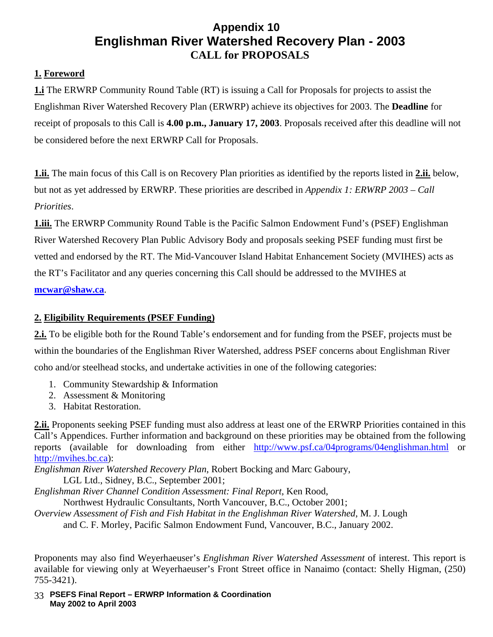# **Appendix 10 Englishman River Watershed Recovery Plan - 2003 CALL for PROPOSALS**

# **1. Foreword**

**1.i** The ERWRP Community Round Table (RT) is issuing a Call for Proposals for projects to assist the Englishman River Watershed Recovery Plan (ERWRP) achieve its objectives for 2003. The **Deadline** for receipt of proposals to this Call is **4.00 p.m., January 17, 2003**. Proposals received after this deadline will not be considered before the next ERWRP Call for Proposals.

**1.ii.** The main focus of this Call is on Recovery Plan priorities as identified by the reports listed in **2.ii.** below, but not as yet addressed by ERWRP. These priorities are described in *Appendix 1: ERWRP 2003 – Call Priorities*.

**1.iii.** The ERWRP Community Round Table is the Pacific Salmon Endowment Fund's (PSEF) Englishman River Watershed Recovery Plan Public Advisory Body and proposals seeking PSEF funding must first be vetted and endorsed by the RT. The Mid-Vancouver Island Habitat Enhancement Society (MVIHES) acts as the RT's Facilitator and any queries concerning this Call should be addressed to the MVIHES at **[mcwar@shaw.ca](mailto:mcwar@shaw.ca)**.

### **2. Eligibility Requirements (PSEF Funding)**

**2.i.** To be eligible both for the Round Table's endorsement and for funding from the PSEF, projects must be within the boundaries of the Englishman River Watershed, address PSEF concerns about Englishman River coho and/or steelhead stocks, and undertake activities in one of the following categories:

- 1. Community Stewardship & Information
- 2. Assessment & Monitoring
- 3. Habitat Restoration.

**2.ii.** Proponents seeking PSEF funding must also address at least one of the ERWRP Priorities contained in this Call's Appendices. Further information and background on these priorities may be obtained from the following reports (available for downloading from either <http://www.psf.ca/04programs/04englishman.html> or [http://mvihes.bc.ca\)](http://mvihes.bc.ca/):

*Englishman River Watershed Recovery Plan*, Robert Bocking and Marc Gaboury,

LGL Ltd., Sidney, B.C., September 2001;

*Englishman River Channel Condition Assessment: Final Report*, Ken Rood, Northwest Hydraulic Consultants, North Vancouver, B.C., October 2001;

*Overview Assessment of Fish and Fish Habitat in the Englishman River Watershed*, M. J. Lough

and C. F. Morley, Pacific Salmon Endowment Fund, Vancouver, B.C., January 2002.

Proponents may also find Weyerhaeuser's *Englishman River Watershed Assessment* of interest. This report is available for viewing only at Weyerhaeuser's Front Street office in Nanaimo (contact: Shelly Higman, (250) 755-3421).

 **PSEFS Final Report – ERWRP Information & Coordination**  33  **May 2002 to April 2003**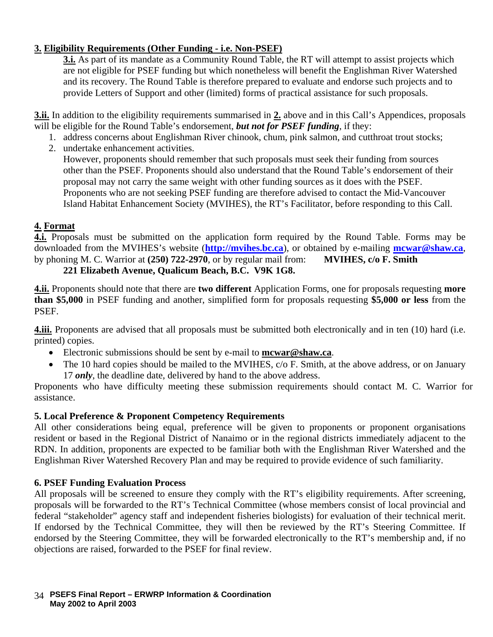### **3. Eligibility Requirements (Other Funding - i.e. Non-PSEF)**

**3.i.** As part of its mandate as a Community Round Table, the RT will attempt to assist projects which are not eligible for PSEF funding but which nonetheless will benefit the Englishman River Watershed and its recovery. The Round Table is therefore prepared to evaluate and endorse such projects and to provide Letters of Support and other (limited) forms of practical assistance for such proposals.

**3.ii.** In addition to the eligibility requirements summarised in **2.** above and in this Call's Appendices, proposals will be eligible for the Round Table's endorsement, *but not for PSEF funding*, if they:

- 1. address concerns about Englishman River chinook, chum, pink salmon, and cutthroat trout stocks;
- 2. undertake enhancement activities. However, proponents should remember that such proposals must seek their funding from sources other than the PSEF. Proponents should also understand that the Round Table's endorsement of their proposal may not carry the same weight with other funding sources as it does with the PSEF. Proponents who are not seeking PSEF funding are therefore advised to contact the Mid-Vancouver Island Habitat Enhancement Society (MVIHES), the RT's Facilitator, before responding to this Call.

### **4. Format**

**4.i.** Proposals must be submitted on the application form required by the Round Table. Forms may be downloaded from the MVIHES's website (**[http://mvihes.bc.ca](http://mvihes.bc.ca/)**), or obtained by e-mailing **[mcwar@shaw.ca](mailto:mcwar@shaw.ca)**, by phoning M. C. Warrior at **(250) 722-2970**, or by regular mail from: **MVIHES, c/o F. Smith**

## **221 Elizabeth Avenue, Qualicum Beach, B.C. V9K 1G8.**

**4.ii.** Proponents should note that there are **two different** Application Forms, one for proposals requesting **more than \$5,000** in PSEF funding and another, simplified form for proposals requesting **\$5,000 or less** from the PSEF.

**4.iii.** Proponents are advised that all proposals must be submitted both electronically and in ten (10) hard (i.e. printed) copies.

- Electronic submissions should be sent by e-mail to **[mcwar@shaw.ca](mailto:mcwar@shaw.ca)**.
- The 10 hard copies should be mailed to the MVIHES, c/o F. Smith, at the above address, or on January 17 *only*, the deadline date, delivered by hand to the above address.

Proponents who have difficulty meeting these submission requirements should contact M. C. Warrior for assistance.

### **5. Local Preference & Proponent Competency Requirements**

All other considerations being equal, preference will be given to proponents or proponent organisations resident or based in the Regional District of Nanaimo or in the regional districts immediately adjacent to the RDN. In addition, proponents are expected to be familiar both with the Englishman River Watershed and the Englishman River Watershed Recovery Plan and may be required to provide evidence of such familiarity.

### **6. PSEF Funding Evaluation Process**

All proposals will be screened to ensure they comply with the RT's eligibility requirements. After screening, proposals will be forwarded to the RT's Technical Committee (whose members consist of local provincial and federal "stakeholder" agency staff and independent fisheries biologists) for evaluation of their technical merit. If endorsed by the Technical Committee, they will then be reviewed by the RT's Steering Committee. If endorsed by the Steering Committee, they will be forwarded electronically to the RT's membership and, if no objections are raised, forwarded to the PSEF for final review.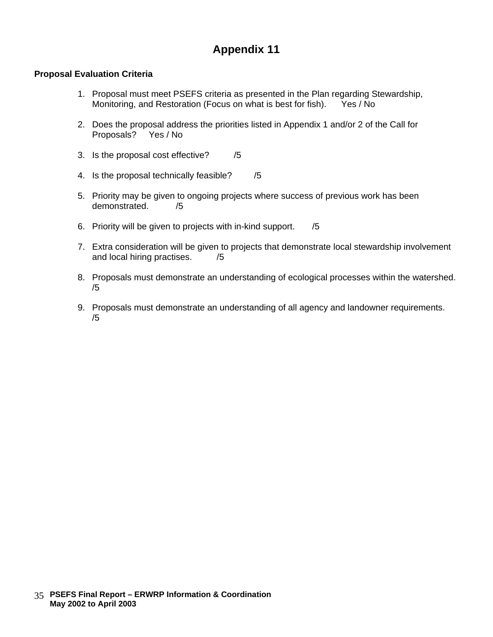#### **Proposal Evaluation Criteria**

- 1. Proposal must meet PSEFS criteria as presented in the Plan regarding Stewardship, Monitoring, and Restoration (Focus on what is best for fish). Yes / No
- 2. Does the proposal address the priorities listed in Appendix 1 and/or 2 of the Call for Proposals?
- 3. Is the proposal cost effective? /5
- 4. Is the proposal technically feasible? /5
- 5. Priority may be given to ongoing projects where success of previous work has been demonstrated. /5
- 6. Priority will be given to projects with in-kind support. /5
- 7. Extra consideration will be given to projects that demonstrate local stewardship involvement and local hiring practises. /5
- 8. Proposals must demonstrate an understanding of ecological processes within the watershed. /5
- 9. Proposals must demonstrate an understanding of all agency and landowner requirements. /5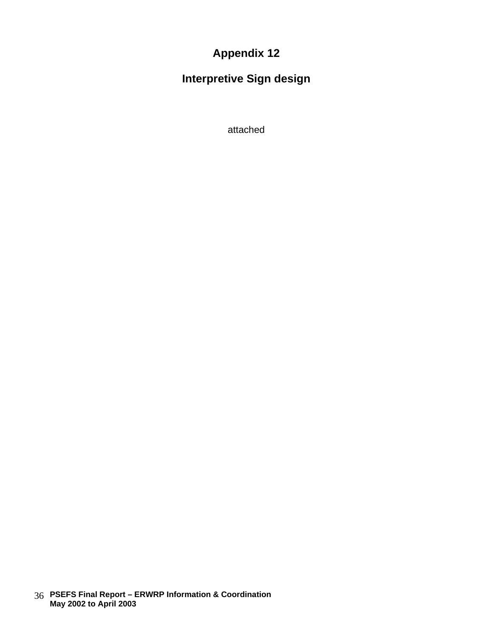**Interpretive Sign design**

attached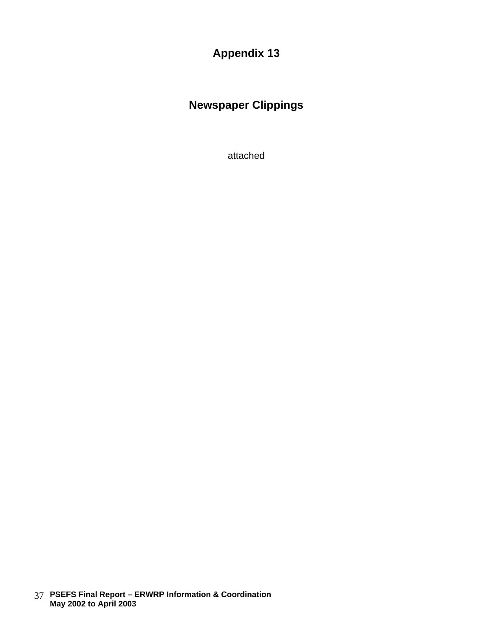# **Newspaper Clippings**

attached